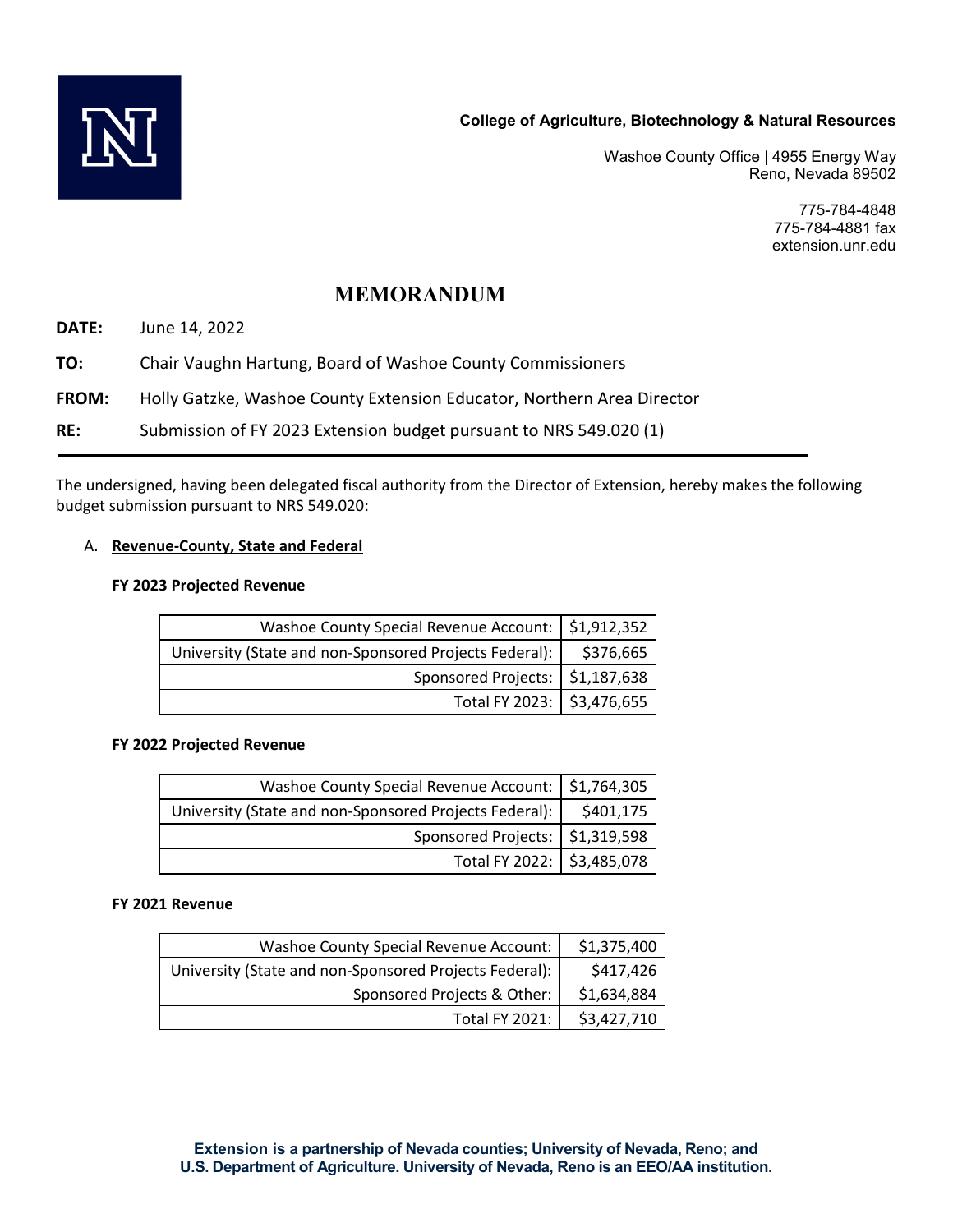

Washoe County Office | 4955 Energy Way Reno, Nevada 89502

> 775-784-4848 775-784-4881 fax extension.unr.edu

# **MEMORANDUM**

**DATE:** June 14, 2022

**TO:** Chair Vaughn Hartung, Board of Washoe County Commissioners

**FROM:** Holly Gatzke, Washoe County Extension Educator, Northern Area Director

**RE:** Submission of FY 2023 Extension budget pursuant to NRS 549.020 (1)

The undersigned, having been delegated fiscal authority from the Director of Extension, hereby makes the following budget submission pursuant to NRS 549.020:

## A. **Revenue-County, State and Federal**

## **FY 2023 Projected Revenue**

| Washoe County Special Revenue Account:   \$1,912,352   |           |
|--------------------------------------------------------|-----------|
| University (State and non-Sponsored Projects Federal): | \$376,665 |
| Sponsored Projects:   \$1,187,638                      |           |
| Total FY 2023: \$3,476,655                             |           |

#### **FY 2022 Projected Revenue**

| Washoe County Special Revenue Account:   \$1,764,305   |           |
|--------------------------------------------------------|-----------|
| University (State and non-Sponsored Projects Federal): | \$401,175 |
| Sponsored Projects:   \$1,319,598                      |           |
| Total FY 2022: \$3,485,078                             |           |

#### **FY 2021 Revenue**

| Washoe County Special Revenue Account:                 | \$1,375,400 |
|--------------------------------------------------------|-------------|
| University (State and non-Sponsored Projects Federal): | \$417,426   |
| Sponsored Projects & Other:                            | \$1,634,884 |
| <b>Total FY 2021:</b>                                  | \$3,427,710 |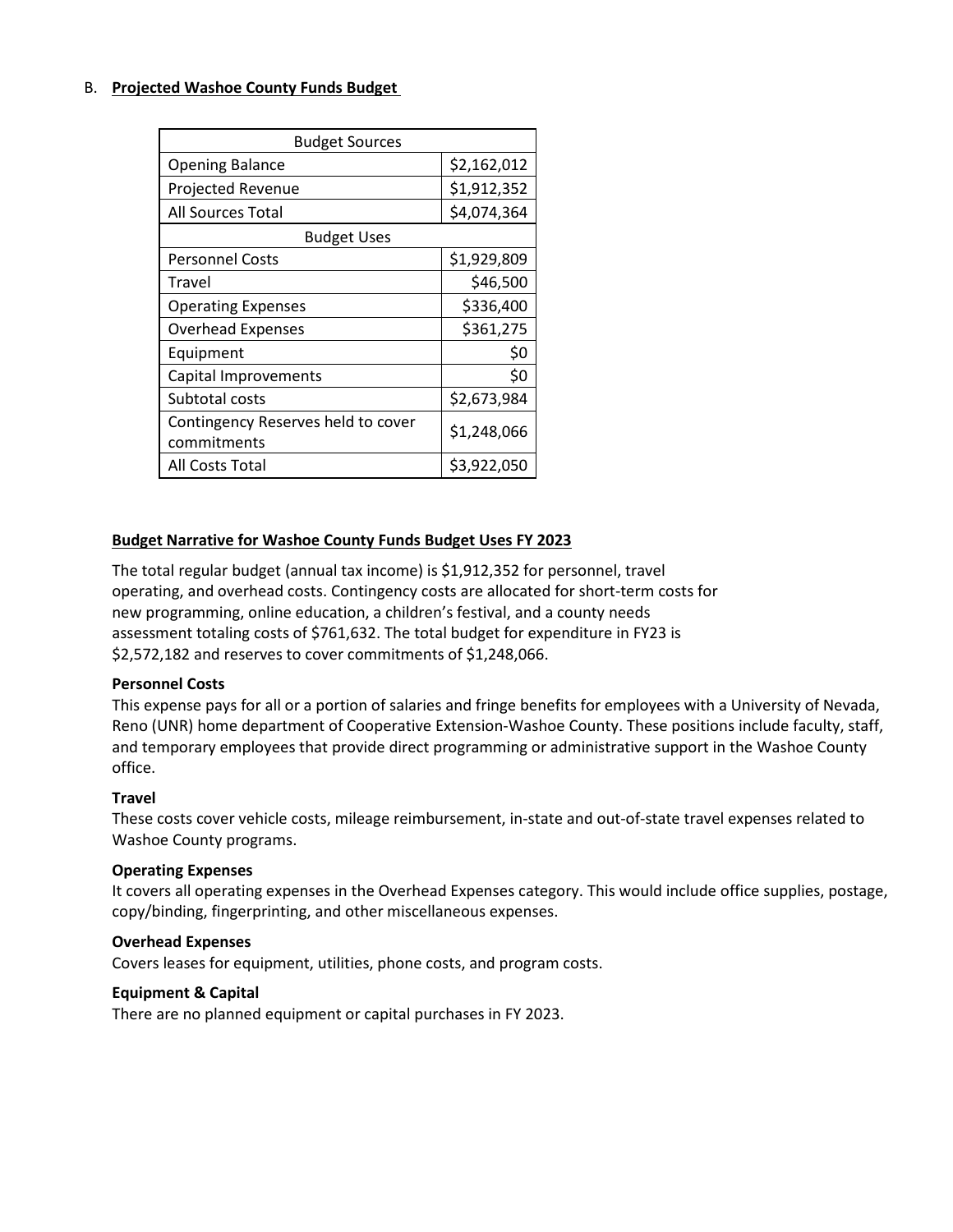## B. **Projected Washoe County Funds Budget**

| <b>Budget Sources</b>              |             |  |
|------------------------------------|-------------|--|
| <b>Opening Balance</b>             | \$2,162,012 |  |
| <b>Projected Revenue</b>           | \$1,912,352 |  |
| <b>All Sources Total</b>           | \$4,074,364 |  |
| <b>Budget Uses</b>                 |             |  |
| <b>Personnel Costs</b>             | \$1,929,809 |  |
| Travel                             | \$46,500    |  |
| <b>Operating Expenses</b>          | \$336,400   |  |
| <b>Overhead Expenses</b>           | \$361,275   |  |
| Equipment                          | \$0         |  |
| Capital Improvements               | \$0         |  |
| Subtotal costs                     | \$2,673,984 |  |
| Contingency Reserves held to cover | \$1,248,066 |  |
| commitments                        |             |  |
| All Costs Total                    | \$3,922,050 |  |

## **Budget Narrative for Washoe County Funds Budget Uses FY 2023**

The total regular budget (annual tax income) is \$1,912,352 for personnel, travel operating, and overhead costs. Contingency costs are allocated for short-term costs for new programming, online education, a children's festival, and a county needs assessment totaling costs of \$761,632. The total budget for expenditure in FY23 is \$2,572,182 and reserves to cover commitments of \$1,248,066.

## **Personnel Costs**

This expense pays for all or a portion of salaries and fringe benefits for employees with a University of Nevada, Reno (UNR) home department of Cooperative Extension-Washoe County. These positions include faculty, staff, and temporary employees that provide direct programming or administrative support in the Washoe County office.

#### **Travel**

These costs cover vehicle costs, mileage reimbursement, in-state and out-of-state travel expenses related to Washoe County programs.

#### **Operating Expenses**

It covers all operating expenses in the Overhead Expenses category. This would include office supplies, postage, copy/binding, fingerprinting, and other miscellaneous expenses.

#### **Overhead Expenses**

Covers leases for equipment, utilities, phone costs, and program costs.

#### **Equipment & Capital**

There are no planned equipment or capital purchases in FY 2023.